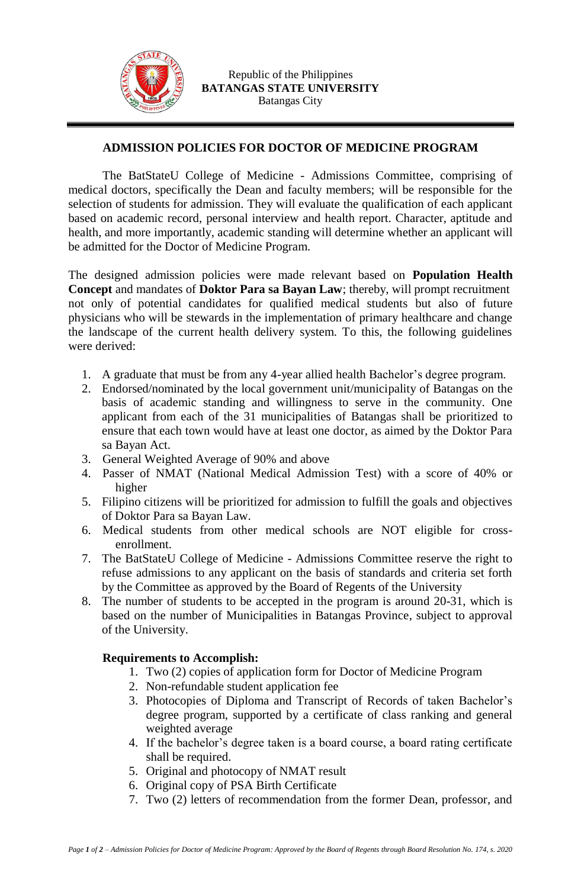

## **ADMISSION POLICIES FOR DOCTOR OF MEDICINE PROGRAM**

The BatStateU College of Medicine - Admissions Committee, comprising of medical doctors, specifically the Dean and faculty members; will be responsible for the selection of students for admission. They will evaluate the qualification of each applicant based on academic record, personal interview and health report. Character, aptitude and health, and more importantly, academic standing will determine whether an applicant will be admitted for the Doctor of Medicine Program.

The designed admission policies were made relevant based on **Population Health Concept** and mandates of **Doktor Para sa Bayan Law**; thereby, will prompt recruitment not only of potential candidates for qualified medical students but also of future physicians who will be stewards in the implementation of primary healthcare and change the landscape of the current health delivery system. To this, the following guidelines were derived:

- 1. A graduate that must be from any 4-year allied health Bachelor's degree program.
- 2. Endorsed/nominated by the local government unit/municipality of Batangas on the basis of academic standing and willingness to serve in the community. One applicant from each of the 31 municipalities of Batangas shall be prioritized to ensure that each town would have at least one doctor, as aimed by the Doktor Para sa Bayan Act.
- 3. General Weighted Average of 90% and above
- 4. Passer of NMAT (National Medical Admission Test) with a score of 40% or higher
- 5. Filipino citizens will be prioritized for admission to fulfill the goals and objectives of Doktor Para sa Bayan Law.
- 6. Medical students from other medical schools are NOT eligible for crossenrollment.
- 7. The BatStateU College of Medicine Admissions Committee reserve the right to refuse admissions to any applicant on the basis of standards and criteria set forth by the Committee as approved by the Board of Regents of the University
- 8. The number of students to be accepted in the program is around 20-31, which is based on the number of Municipalities in Batangas Province, subject to approval of the University.

## **Requirements to Accomplish:**

- 1. Two (2) copies of application form for Doctor of Medicine Program
- 2. Non-refundable student application fee
- 3. Photocopies of Diploma and Transcript of Records of taken Bachelor's degree program, supported by a certificate of class ranking and general weighted average
- 4. If the bachelor's degree taken is a board course, a board rating certificate shall be required.
- 5. Original and photocopy of NMAT result
- 6. Original copy of PSA Birth Certificate
- 7. Two (2) letters of recommendation from the former Dean, professor, and